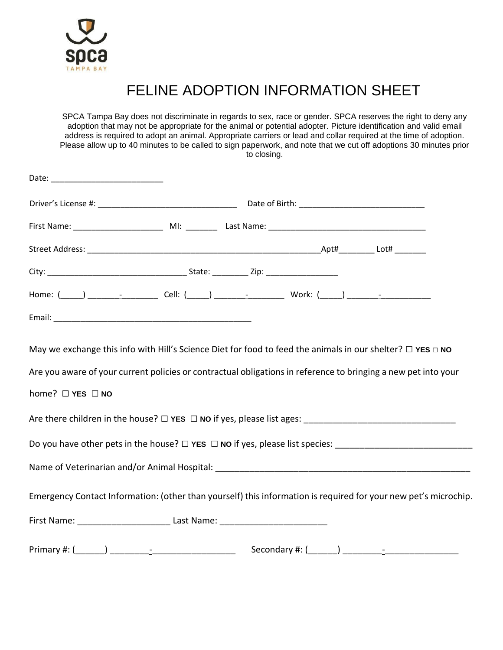

## FELINE ADOPTION INFORMATION SHEET

SPCA Tampa Bay does not discriminate in regards to sex, race or gender. SPCA reserves the right to deny any adoption that may not be appropriate for the animal or potential adopter. Picture identification and valid email address is required to adopt an animal. Appropriate carriers or lead and collar required at the time of adoption. Please allow up to 40 minutes to be called to sign paperwork, and note that we cut off adoptions 30 minutes prior to closing.

| Are you aware of your current policies or contractual obligations in reference to bringing a new pet into your<br>home? □ YES □ NO<br>Are there children in the house? $\Box$ YES $\Box$ NO if yes, please list ages: |  |  |  |
|-----------------------------------------------------------------------------------------------------------------------------------------------------------------------------------------------------------------------|--|--|--|
| Do you have other pets in the house? □ YES □ NO if yes, please list species: __________________________________                                                                                                       |  |  |  |
|                                                                                                                                                                                                                       |  |  |  |
| Emergency Contact Information: (other than yourself) this information is required for your new pet's microchip.                                                                                                       |  |  |  |
|                                                                                                                                                                                                                       |  |  |  |
|                                                                                                                                                                                                                       |  |  |  |